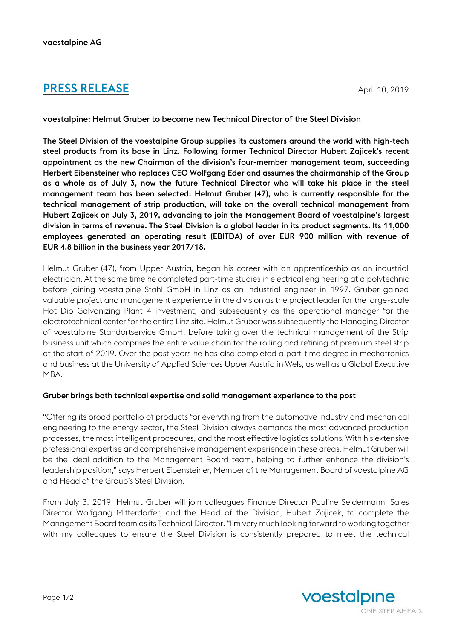# **PRESS RELEASE** April 10, 2019

voestalpine: Helmut Gruber to become new Technical Director of the Steel Division

The Steel Division of the voestalpine Group supplies its customers around the world with high-tech steel products from its base in Linz. Following former Technical Director Hubert Zajicek's recent appointment as the new Chairman of the division's four-member management team, succeeding Herbert Eibensteiner who replaces CEO Wolfgang Eder and assumes the chairmanship of the Group as a whole as of July 3, now the future Technical Director who will take his place in the steel management team has been selected: Helmut Gruber (47), who is currently responsible for the technical management of strip production, will take on the overall technical management from Hubert Zajicek on July 3, 2019, advancing to join the Management Board of voestalpine's largest division in terms of revenue. The Steel Division is a global leader in its product segments. Its 11,000 employees generated an operating result (EBITDA) of over EUR 900 million with revenue of EUR 4.8 billion in the business year 2017/18.

Helmut Gruber (47), from Upper Austria, began his career with an apprenticeship as an industrial electrician. At the same time he completed part-time studies in electrical engineering at a polytechnic before joining voestalpine Stahl GmbH in Linz as an industrial engineer in 1997. Gruber gained valuable project and management experience in the division as the project leader for the large-scale Hot Dip Galvanizing Plant 4 investment, and subsequently as the operational manager for the electrotechnical center for the entire Linz site. Helmut Gruber was subsequently the Managing Director of voestalpine Standortservice GmbH, before taking over the technical management of the Strip business unit which comprises the entire value chain for the rolling and refining of premium steel strip at the start of 2019. Over the past years he has also completed a part-time degree in mechatronics and business at the University of Applied Sciences Upper Austria in Wels, as well as a Global Executive MBA.

## Gruber brings both technical expertise and solid management experience to the post

"Offering its broad portfolio of products for everything from the automotive industry and mechanical engineering to the energy sector, the Steel Division always demands the most advanced production processes, the most intelligent procedures, and the most effective logistics solutions. With his extensive professional expertise and comprehensive management experience in these areas, Helmut Gruber will be the ideal addition to the Management Board team, helping to further enhance the division's leadership position," says Herbert Eibensteiner, Member of the Management Board of voestalpine AG and Head of the Group's Steel Division.

From July 3, 2019, Helmut Gruber will join colleagues Finance Director Pauline Seidermann, Sales Director Wolfgang Mitterdorfer, and the Head of the Division, Hubert Zajicek, to complete the Management Board team as its Technical Director. "I'm very much looking forward to working together with my colleagues to ensure the Steel Division is consistently prepared to meet the technical